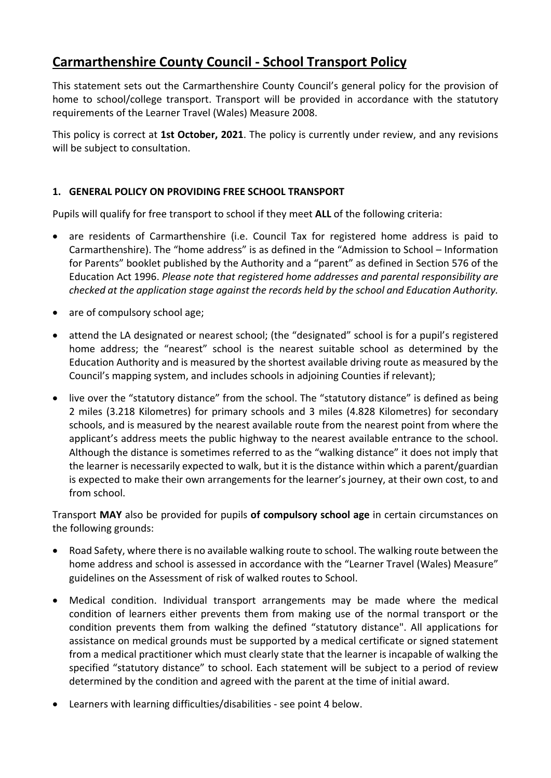# **Carmarthenshire County Council ‐ School Transport Policy**

This statement sets out the Carmarthenshire County Council's general policy for the provision of home to school/college transport. Transport will be provided in accordance with the statutory requirements of the Learner Travel (Wales) Measure 2008.

This policy is correct at **1st October, 2021**. The policy is currently under review, and any revisions will be subject to consultation.

# **1. GENERAL POLICY ON PROVIDING FREE SCHOOL TRANSPORT**

Pupils will qualify for free transport to school if they meet **ALL** of the following criteria:

- are residents of Carmarthenshire (i.e. Council Tax for registered home address is paid to Carmarthenshire). The "home address" is as defined in the "Admission to School – Information for Parents" booklet published by the Authority and a "parent" as defined in Section 576 of the Education Act 1996. *Please note that registered home addresses and parental responsibility are checked at the application stage against the records held by the school and Education Authority.*
- are of compulsory school age;
- attend the LA designated or nearest school; (the "designated" school is for a pupil's registered home address; the "nearest" school is the nearest suitable school as determined by the Education Authority and is measured by the shortest available driving route as measured by the Council's mapping system, and includes schools in adjoining Counties if relevant);
- live over the "statutory distance" from the school. The "statutory distance" is defined as being 2 miles (3.218 Kilometres) for primary schools and 3 miles (4.828 Kilometres) for secondary schools, and is measured by the nearest available route from the nearest point from where the applicant's address meets the public highway to the nearest available entrance to the school. Although the distance is sometimes referred to as the "walking distance" it does not imply that the learner is necessarily expected to walk, but it is the distance within which a parent/guardian is expected to make their own arrangements for the learner's journey, at their own cost, to and from school.

Transport **MAY** also be provided for pupils **of compulsory school age** in certain circumstances on the following grounds:

- Road Safety, where there is no available walking route to school. The walking route between the home address and school is assessed in accordance with the "Learner Travel (Wales) Measure" guidelines on the Assessment of risk of walked routes to School.
- Medical condition. Individual transport arrangements may be made where the medical condition of learners either prevents them from making use of the normal transport or the condition prevents them from walking the defined "statutory distance". All applications for assistance on medical grounds must be supported by a medical certificate or signed statement from a medical practitioner which must clearly state that the learner is incapable of walking the specified "statutory distance" to school. Each statement will be subject to a period of review determined by the condition and agreed with the parent at the time of initial award.
- Learners with learning difficulties/disabilities ‐ see point 4 below.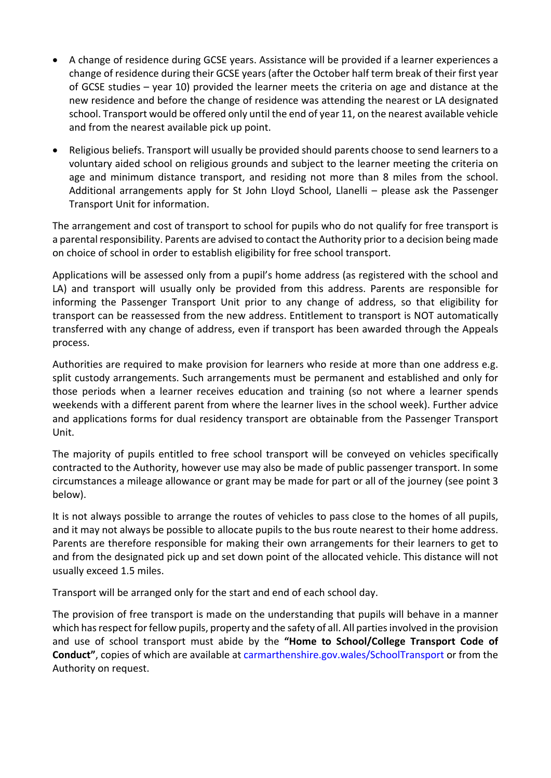- A change of residence during GCSE years. Assistance will be provided if a learner experiences a change of residence during their GCSE years (after the October half term break of their first year of GCSE studies – year 10) provided the learner meets the criteria on age and distance at the new residence and before the change of residence was attending the nearest or LA designated school. Transport would be offered only until the end of year 11, on the nearest available vehicle and from the nearest available pick up point.
- Religious beliefs. Transport will usually be provided should parents choose to send learners to a voluntary aided school on religious grounds and subject to the learner meeting the criteria on age and minimum distance transport, and residing not more than 8 miles from the school. Additional arrangements apply for St John Lloyd School, Llanelli – please ask the Passenger Transport Unit for information.

The arrangement and cost of transport to school for pupils who do not qualify for free transport is a parental responsibility. Parents are advised to contact the Authority prior to a decision being made on choice of school in order to establish eligibility for free school transport.

Applications will be assessed only from a pupil's home address (as registered with the school and LA) and transport will usually only be provided from this address. Parents are responsible for informing the Passenger Transport Unit prior to any change of address, so that eligibility for transport can be reassessed from the new address. Entitlement to transport is NOT automatically transferred with any change of address, even if transport has been awarded through the Appeals process.

Authorities are required to make provision for learners who reside at more than one address e.g. split custody arrangements. Such arrangements must be permanent and established and only for those periods when a learner receives education and training (so not where a learner spends weekends with a different parent from where the learner lives in the school week). Further advice and applications forms for dual residency transport are obtainable from the Passenger Transport Unit.

The majority of pupils entitled to free school transport will be conveyed on vehicles specifically contracted to the Authority, however use may also be made of public passenger transport. In some circumstances a mileage allowance or grant may be made for part or all of the journey (see point 3 below).

It is not always possible to arrange the routes of vehicles to pass close to the homes of all pupils, and it may not always be possible to allocate pupils to the bus route nearest to their home address. Parents are therefore responsible for making their own arrangements for their learners to get to and from the designated pick up and set down point of the allocated vehicle. This distance will not usually exceed 1.5 miles.

Transport will be arranged only for the start and end of each school day.

The provision of free transport is made on the understanding that pupils will behave in a manner which has respect for fellow pupils, property and the safety of all. All parties involved in the provision and use of school transport must abide by the **"Home to School/College Transport Code of Conduct"**, copies of which are available at carmarthenshire.gov.wales/SchoolTransport or from the Authority on request.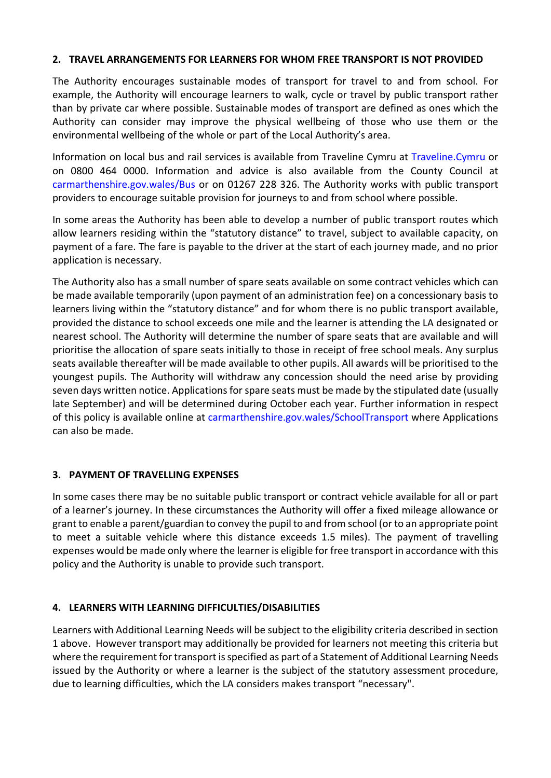#### **2. TRAVEL ARRANGEMENTS FOR LEARNERS FOR WHOM FREE TRANSPORT IS NOT PROVIDED**

The Authority encourages sustainable modes of transport for travel to and from school. For example, the Authority will encourage learners to walk, cycle or travel by public transport rather than by private car where possible. Sustainable modes of transport are defined as ones which the Authority can consider may improve the physical wellbeing of those who use them or the environmental wellbeing of the whole or part of the Local Authority's area.

Information on local bus and rail services is available from Traveline Cymru at Traveline.Cymru or on 0800 464 0000. Information and advice is also available from the County Council at carmarthenshire.gov.wales/Bus or on 01267 228 326. The Authority works with public transport providers to encourage suitable provision for journeys to and from school where possible.

In some areas the Authority has been able to develop a number of public transport routes which allow learners residing within the "statutory distance" to travel, subject to available capacity, on payment of a fare. The fare is payable to the driver at the start of each journey made, and no prior application is necessary.

The Authority also has a small number of spare seats available on some contract vehicles which can be made available temporarily (upon payment of an administration fee) on a concessionary basis to learners living within the "statutory distance" and for whom there is no public transport available, provided the distance to school exceeds one mile and the learner is attending the LA designated or nearest school. The Authority will determine the number of spare seats that are available and will prioritise the allocation of spare seats initially to those in receipt of free school meals. Any surplus seats available thereafter will be made available to other pupils. All awards will be prioritised to the youngest pupils. The Authority will withdraw any concession should the need arise by providing seven days written notice. Applications for spare seats must be made by the stipulated date (usually late September) and will be determined during October each year. Further information in respect of this policy is available online at carmarthenshire.gov.wales/SchoolTransport where Applications can also be made.

#### **3. PAYMENT OF TRAVELLING EXPENSES**

In some cases there may be no suitable public transport or contract vehicle available for all or part of a learner's journey. In these circumstances the Authority will offer a fixed mileage allowance or grant to enable a parent/guardian to convey the pupil to and from school (or to an appropriate point to meet a suitable vehicle where this distance exceeds 1.5 miles). The payment of travelling expenses would be made only where the learner is eligible for free transport in accordance with this policy and the Authority is unable to provide such transport.

## **4. LEARNERS WITH LEARNING DIFFICULTIES/DISABILITIES**

Learners with Additional Learning Needs will be subject to the eligibility criteria described in section 1 above. However transport may additionally be provided for learners not meeting this criteria but where the requirement for transport is specified as part of a Statement of Additional Learning Needs issued by the Authority or where a learner is the subject of the statutory assessment procedure, due to learning difficulties, which the LA considers makes transport "necessary".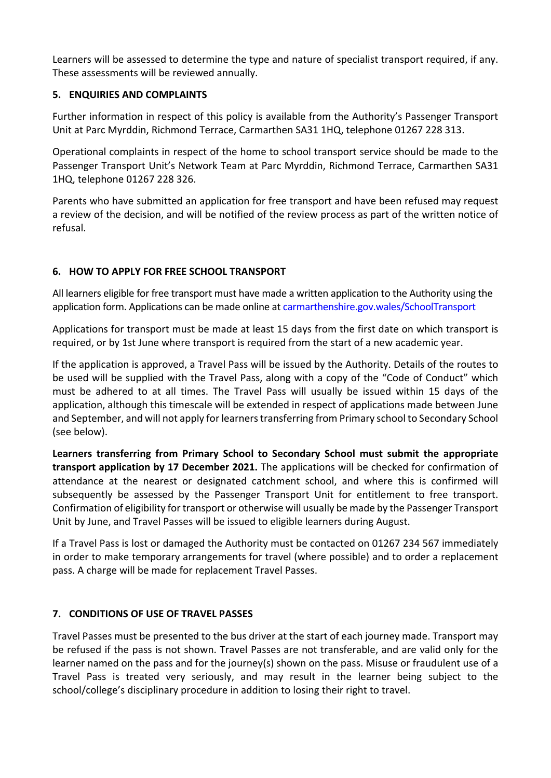Learners will be assessed to determine the type and nature of specialist transport required, if any. These assessments will be reviewed annually.

## **5. ENQUIRIES AND COMPLAINTS**

Further information in respect of this policy is available from the Authority's Passenger Transport Unit at Parc Myrddin, Richmond Terrace, Carmarthen SA31 1HQ, telephone 01267 228 313.

Operational complaints in respect of the home to school transport service should be made to the Passenger Transport Unit's Network Team at Parc Myrddin, Richmond Terrace, Carmarthen SA31 1HQ, telephone 01267 228 326.

Parents who have submitted an application for free transport and have been refused may request a review of the decision, and will be notified of the review process as part of the written notice of refusal.

## **6. HOW TO APPLY FOR FREE SCHOOL TRANSPORT**

All learners eligible for free transport must have made a written application to the Authority using the application form. Applications can be made online at carmarthenshire.gov.wales/SchoolTransport

Applications for transport must be made at least 15 days from the first date on which transport is required, or by 1st June where transport is required from the start of a new academic year.

If the application is approved, a Travel Pass will be issued by the Authority. Details of the routes to be used will be supplied with the Travel Pass, along with a copy of the "Code of Conduct" which must be adhered to at all times. The Travel Pass will usually be issued within 15 days of the application, although this timescale will be extended in respect of applications made between June and September, and will not apply for learners transferring from Primary school to Secondary School (see below).

**Learners transferring from Primary School to Secondary School must submit the appropriate transport application by 17 December 2021.** The applications will be checked for confirmation of attendance at the nearest or designated catchment school, and where this is confirmed will subsequently be assessed by the Passenger Transport Unit for entitlement to free transport. Confirmation of eligibility fortransport or otherwise will usually be made by the Passenger Transport Unit by June, and Travel Passes will be issued to eligible learners during August.

If a Travel Pass is lost or damaged the Authority must be contacted on 01267 234 567 immediately in order to make temporary arrangements for travel (where possible) and to order a replacement pass. A charge will be made for replacement Travel Passes.

## **7. CONDITIONS OF USE OF TRAVEL PASSES**

Travel Passes must be presented to the bus driver at the start of each journey made. Transport may be refused if the pass is not shown. Travel Passes are not transferable, and are valid only for the learner named on the pass and for the journey(s) shown on the pass. Misuse or fraudulent use of a Travel Pass is treated very seriously, and may result in the learner being subject to the school/college's disciplinary procedure in addition to losing their right to travel.